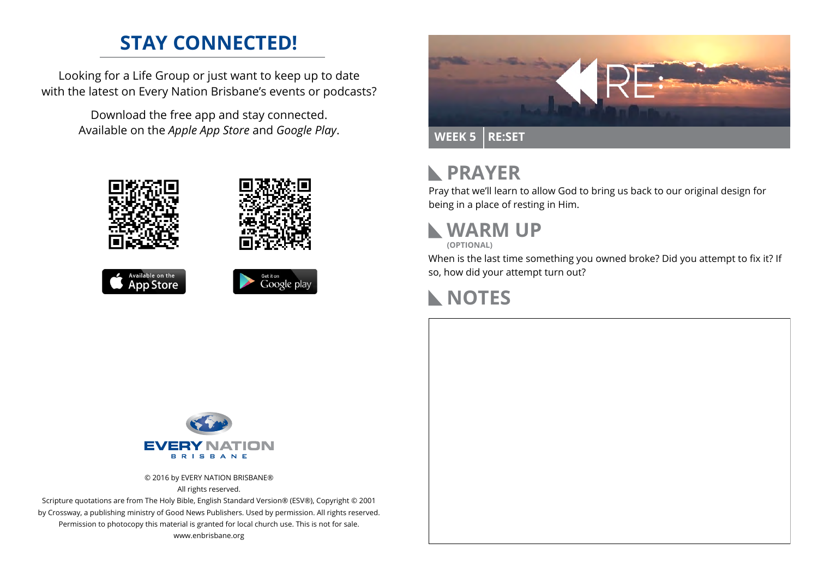### **STAY CONNECTED!**

Looking for a Life Group or just want to keep up to date with the latest on Every Nation Brisbane's events or podcasts?

> Download the free app and stay connected. Available on the *Apple App Store* and *Google Play*.











#### **PRAYER**  $\mathbb{R}$

Pray that we'll learn to allow God to bring us back to our original design for being in a place of resting in Him.



**(OPTIONAL)**

When is the last time something you owned broke? Did you attempt to fix it? If so, how did your attempt turn out?





© 2016 by EVERY NATION BRISBANE® All rights reserved.

Scripture quotations are from The Holy Bible, English Standard Version® (ESV®), Copyright © 2001 by Crossway, a publishing ministry of Good News Publishers. Used by permission. All rights reserved. Permission to photocopy this material is granted for local church use. This is not for sale. www.enbrisbane.org